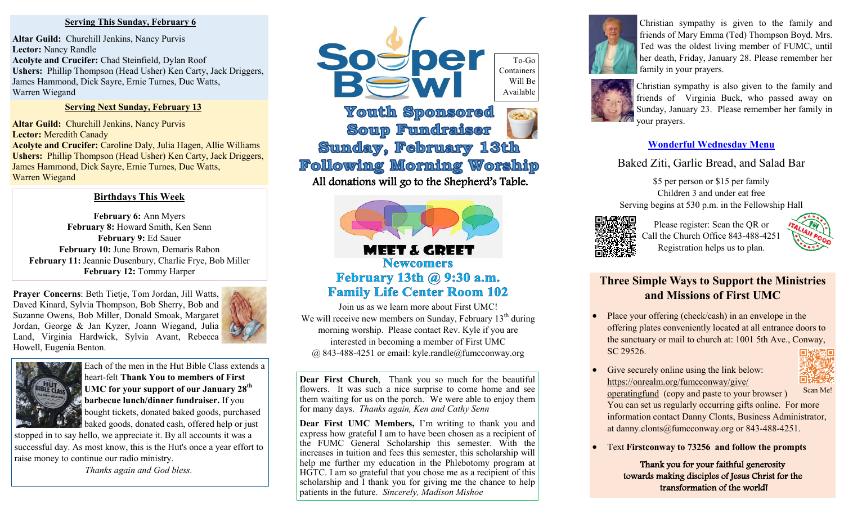#### **Serving This Sunday, February 6**

**Altar Guild:** Churchill Jenkins, Nancy Purvis **Lector:** Nancy Randle **Acolyte and Crucifer:** Chad Steinfield, Dylan Roof **Ushers:** Phillip Thompson (Head Usher) Ken Carty, Jack Driggers, James Hammond, Dick Sayre, Ernie Turnes, Duc Watts, Warren Wiegand

#### **Serving Next Sunday, February 13**

**Altar Guild:** Churchill Jenkins, Nancy Purvis **Lector:** Meredith Canady **Acolyte and Crucifer:** Caroline Daly, Julia Hagen, Allie Williams **Ushers:** Phillip Thompson (Head Usher) Ken Carty, Jack Driggers, James Hammond, Dick Sayre, Ernie Turnes, Duc Watts, Warren Wiegand

#### **Birthdays This Week**

**February 6:** Ann Myers February 8: Howard Smith, Ken Senn **February 9:** Ed Sauer **February 10:** June Brown, Demaris Rabon **February 11:** Jeannie Dusenbury, Charlie Frye, Bob Miller **February 12:** Tommy Harper

**Prayer Concerns**: Beth Tietje, Tom Jordan, Jill Watts, Daved Kinard, Sylvia Thompson, Bob Sherry, Bob and Suzanne Owens, Bob Miller, Donald Smoak, Margaret Jordan, George & Jan Kyzer, Joann Wiegand, Julia Land, Virginia Hardwick, Sylvia Avant, Rebecca Howell, Eugenia Benton.





Each of the men in the Hut Bible Class extends a heart-felt **Thank You to members of First UMC for your support of our January 28th barbecue lunch/dinner fundraiser.** If you bought tickets, donated baked goods, purchased baked goods, donated cash, offered help or just

stopped in to say hello, we appreciate it. By all accounts it was a successful day. As most know, this is the Hut's once a year effort to raise money to continue our radio ministry.

*Thanks again and God bless.* 



**Youth Sponsored Soup Fundraiser Sunday, February 13th Following Morning Worship** All donations will go to the Shepherd's Table.



### MEET & GREET **Newcomers** February 13th @ 9:30 a.m. **Family Life Center Room 102**

Join us as we learn more about First UMC! We will receive new members on Sunday, February  $13<sup>th</sup>$  during morning worship. Please contact Rev. Kyle if you are interested in becoming a member of First UMC @ 843-488-4251 or email: kyle.randle@fumcconway.org

**Dear First Church**, Thank you so much for the beautiful flowers. It was such a nice surprise to come home and see them waiting for us on the porch. We were able to enjoy them for many days. *Thanks again, Ken and Cathy Senn*

**Dear First UMC Members,** I'm writing to thank you and express how grateful I am to have been chosen as a recipient of the FUMC General Scholarship this semester. With the increases in tuition and fees this semester, this scholarship will help me further my education in the Phlebotomy program at HGTC. I am so grateful that you chose me as a recipient of this scholarship and I thank you for giving me the chance to help patients in the future. *Sincerely, Madison Mishoe*



Christian sympathy is given to the family and friends of Mary Emma (Ted) Thompson Boyd. Mrs. Ted was the oldest living member of FUMC, until her death, Friday, January 28. Please remember her family in your prayers.



Christian sympathy is also given to the family and friends of Virginia Buck, who passed away on Sunday, January 23. Please remember her family in your prayers.

#### **Wonderful Wednesday Menu**

Baked Ziti, Garlic Bread, and Salad Bar

\$5 per person or \$15 per family Children 3 and under eat free Serving begins at 530 p.m. in the Fellowship Hall



Please register: Scan the QR or Call the Church Office 843-488-4251 Registration helps us to plan.



## **Three Simple Ways to Support the Ministries and Missions of First UMC**

- Place your offering (check/cash) in an envelope in the offering plates conveniently located at all entrance doors to the sanctuary or mail to church at: 1001 5th Ave., Conway, SC 29526.
- Give securely online using the link below: [https://onrealm.org/fumcconway/give/](https://onrealm.org/fumcconway/give/operatingfund)



[operatingfund](https://onrealm.org/fumcconway/give/operatingfund) (copy and paste to your browser ) You can set us regularly occurring gifts online. For more information contact Danny Clonts, Business Administrator, at danny.clonts@fumcconway.org or 843-488-4251.

• Text **Firstconway to 73256 and follow the prompts**

Thank you for your faithful generosity towards making disciples of Jesus Christ for the transformation of the world!